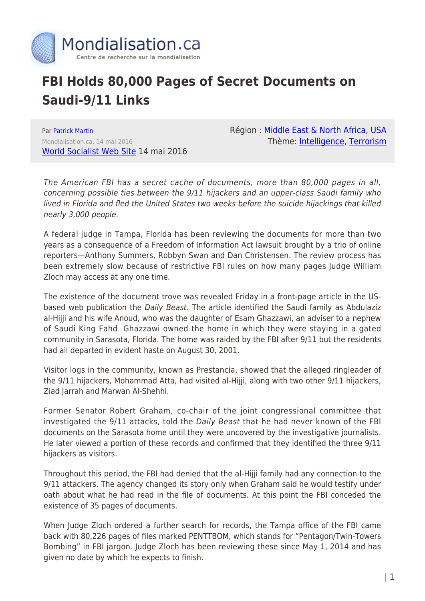

## **FBI Holds 80,000 Pages of Secret Documents on Saudi-9/11 Links**

Par [Patrick Martin](https://www.mondialisation.ca/author/patrick-martin) Mondialisation.ca, 14 mai 2016 [World Socialist Web Site](http://www.wsws.org/en/articles/2016/05/14/saud-m14.html) 14 mai 2016 Région : [Middle East & North Africa,](https://www.mondialisation.ca/region/middle-east) [USA](https://www.mondialisation.ca/region/usa) Thème: [Intelligence](https://www.mondialisation.ca/theme/intelligence), [Terrorism](https://www.mondialisation.ca/theme/9-11-war-on-terrorism)

The American FBI has a secret cache of documents, more than 80,000 pages in all, concerning possible ties between the 9/11 hijackers and an upper-class Saudi family who lived in Florida and fled the United States two weeks before the suicide hijackings that killed nearly 3,000 people.

A federal judge in Tampa, Florida has been reviewing the documents for more than two years as a consequence of a Freedom of Information Act lawsuit brought by a trio of online reporters—Anthony Summers, Robbyn Swan and Dan Christensen. The review process has been extremely slow because of restrictive FBI rules on how many pages Judge William Zloch may access at any one time.

The existence of the document trove was revealed Friday in a front-page article in the USbased web publication the Daily Beast. The article identified the Saudi family as Abdulaziz al-Hijji and his wife Anoud, who was the daughter of Esam Ghazzawi, an adviser to a nephew of Saudi King Fahd. Ghazzawi owned the home in which they were staying in a gated community in Sarasota, Florida. The home was raided by the FBI after 9/11 but the residents had all departed in evident haste on August 30, 2001.

Visitor logs in the community, known as Prestancia, showed that the alleged ringleader of the 9/11 hijackers, Mohammad Atta, had visited al-Hijji, along with two other 9/11 hijackers, Ziad Jarrah and Marwan Al-Shehhi.

Former Senator Robert Graham, co-chair of the joint congressional committee that investigated the 9/11 attacks, told the Daily Beast that he had never known of the FBI documents on the Sarasota home until they were uncovered by the investigative journalists. He later viewed a portion of these records and confirmed that they identified the three 9/11 hijackers as visitors.

Throughout this period, the FBI had denied that the al-Hijji family had any connection to the 9/11 attackers. The agency changed its story only when Graham said he would testify under oath about what he had read in the file of documents. At this point the FBI conceded the existence of 35 pages of documents.

When Judge Zloch ordered a further search for records, the Tampa office of the FBI came back with 80,226 pages of files marked PENTTBOM, which stands for "Pentagon/Twin-Towers Bombing" in FBI jargon. Judge Zloch has been reviewing these since May 1, 2014 and has given no date by which he expects to finish.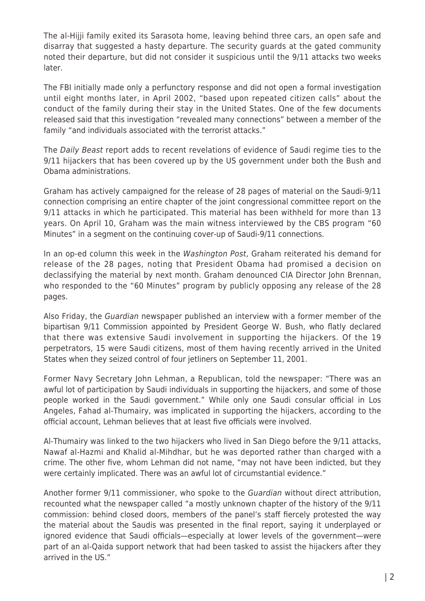The al-Hijji family exited its Sarasota home, leaving behind three cars, an open safe and disarray that suggested a hasty departure. The security guards at the gated community noted their departure, but did not consider it suspicious until the 9/11 attacks two weeks later.

The FBI initially made only a perfunctory response and did not open a formal investigation until eight months later, in April 2002, "based upon repeated citizen calls" about the conduct of the family during their stay in the United States. One of the few documents released said that this investigation "revealed many connections" between a member of the family "and individuals associated with the terrorist attacks."

The Daily Beast report adds to recent revelations of evidence of Saudi regime ties to the 9/11 hijackers that has been covered up by the US government under both the Bush and Obama administrations.

Graham has actively campaigned for the release of 28 pages of material on the Saudi-9/11 connection comprising an entire chapter of the joint congressional committee report on the 9/11 attacks in which he participated. This material has been withheld for more than 13 years. On April 10, Graham was the main witness interviewed by the CBS program "60 Minutes" in a segment on the continuing cover-up of Saudi-9/11 connections.

In an op-ed column this week in the Washington Post, Graham reiterated his demand for release of the 28 pages, noting that President Obama had promised a decision on declassifying the material by next month. Graham denounced CIA Director John Brennan, who responded to the "60 Minutes" program by publicly opposing any release of the 28 pages.

Also Friday, the Guardian newspaper published an interview with a former member of the bipartisan 9/11 Commission appointed by President George W. Bush, who flatly declared that there was extensive Saudi involvement in supporting the hijackers. Of the 19 perpetrators, 15 were Saudi citizens, most of them having recently arrived in the United States when they seized control of four jetliners on September 11, 2001.

Former Navy Secretary John Lehman, a Republican, told the newspaper: "There was an awful lot of participation by Saudi individuals in supporting the hijackers, and some of those people worked in the Saudi government." While only one Saudi consular official in Los Angeles, Fahad al-Thumairy, was implicated in supporting the hijackers, according to the official account, Lehman believes that at least five officials were involved.

Al-Thumairy was linked to the two hijackers who lived in San Diego before the 9/11 attacks, Nawaf al-Hazmi and Khalid al-Mihdhar, but he was deported rather than charged with a crime. The other five, whom Lehman did not name, "may not have been indicted, but they were certainly implicated. There was an awful lot of circumstantial evidence."

Another former 9/11 commissioner, who spoke to the Guardian without direct attribution, recounted what the newspaper called "a mostly unknown chapter of the history of the 9/11 commission: behind closed doors, members of the panel's staff fiercely protested the way the material about the Saudis was presented in the final report, saying it underplayed or ignored evidence that Saudi officials—especially at lower levels of the government—were part of an al-Qaida support network that had been tasked to assist the hijackers after they arrived in the US."